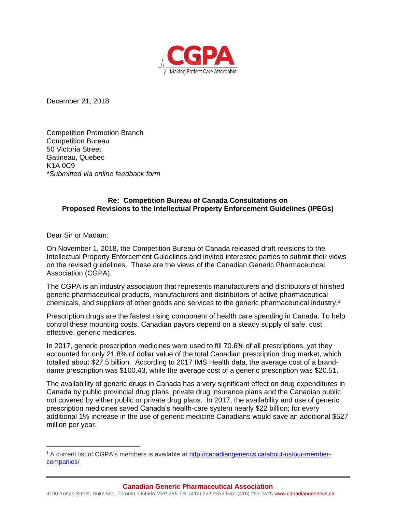

December 21, 2018

Competition Promotion Branch Competition Bureau 50 Victoria Street Gatineau, Quebec K1A 0C9 *\*Submitted via online feedback form*

## **Re: Competition Bureau of Canada Consultations on Proposed Revisions to the Intellectual Property Enforcement Guidelines (IPEGs)**

Dear Sir or Madam:

l

On November 1, 2018, the Competition Bureau of Canada released draft revisions to the Intellectual Property Enforcement Guidelines and invited interested parties to submit their views on the revised guidelines. These are the views of the Canadian Generic Pharmaceutical Association (CGPA).

The CGPA is an industry association that represents manufacturers and distributors of finished generic pharmaceutical products, manufacturers and distributors of active pharmaceutical chemicals, and suppliers of other goods and services to the generic pharmaceutical industry.<sup>1</sup>

Prescription drugs are the fastest rising component of health care spending in Canada. To help control these mounting costs, Canadian payors depend on a steady supply of safe, cost effective, generic medicines.

In 2017, generic prescription medicines were used to fill 70.6% of all prescriptions, yet they accounted for only 21.8% of dollar value of the total Canadian prescription drug market, which totalled about \$27.5 billion. According to 2017 IMS Health data, the average cost of a brandname prescription was \$100.43, while the average cost of a generic prescription was \$20.51.

The availability of generic drugs in Canada has a very significant effect on drug expenditures in Canada by public provincial drug plans, private drug insurance plans and the Canadian public not covered by either public or private drug plans. In 2017, the availability and use of generic prescription medicines saved Canada's health-care system nearly \$22 billion; for every additional 1% increase in the use of generic medicine Canadians would save an additional \$527 million per year.

<sup>1</sup> A current list of CGPA's members is available at [http://canadiangenerics.ca/about-us/our-member](http://canadiangenerics.ca/about-us/our-member-companies/)[companies/](http://canadiangenerics.ca/about-us/our-member-companies/)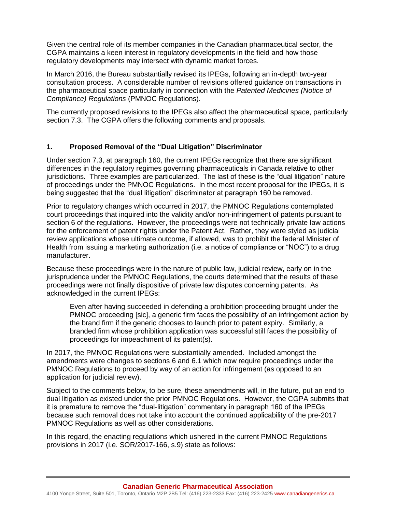Given the central role of its member companies in the Canadian pharmaceutical sector, the CGPA maintains a keen interest in regulatory developments in the field and how those regulatory developments may intersect with dynamic market forces.

In March 2016, the Bureau substantially revised its IPEGs, following an in-depth two-year consultation process. A considerable number of revisions offered guidance on transactions in the pharmaceutical space particularly in connection with the *Patented Medicines (Notice of Compliance) Regulations* (PMNOC Regulations).

The currently proposed revisions to the IPEGs also affect the pharmaceutical space, particularly section 7.3. The CGPA offers the following comments and proposals.

## **1. Proposed Removal of the "Dual Litigation" Discriminator**

Under section 7.3, at paragraph 160, the current IPEGs recognize that there are significant differences in the regulatory regimes governing pharmaceuticals in Canada relative to other jurisdictions. Three examples are particularized. The last of these is the "dual litigation" nature of proceedings under the PMNOC Regulations. In the most recent proposal for the IPEGs, it is being suggested that the "dual litigation" discriminator at paragraph 160 be removed.

Prior to regulatory changes which occurred in 2017, the PMNOC Regulations contemplated court proceedings that inquired into the validity and/or non-infringement of patents pursuant to section 6 of the regulations. However, the proceedings were not technically private law actions for the enforcement of patent rights under the Patent Act. Rather, they were styled as judicial review applications whose ultimate outcome, if allowed, was to prohibit the federal Minister of Health from issuing a marketing authorization (i.e. a notice of compliance or "NOC") to a drug manufacturer.

Because these proceedings were in the nature of public law, judicial review, early on in the jurisprudence under the PMNOC Regulations, the courts determined that the results of these proceedings were not finally dispositive of private law disputes concerning patents. As acknowledged in the current IPEGs:

Even after having succeeded in defending a prohibition proceeding brought under the PMNOC proceeding [sic], a generic firm faces the possibility of an infringement action by the brand firm if the generic chooses to launch prior to patent expiry. Similarly, a branded firm whose prohibition application was successful still faces the possibility of proceedings for impeachment of its patent(s).

In 2017, the PMNOC Regulations were substantially amended. Included amongst the amendments were changes to sections 6 and 6.1 which now require proceedings under the PMNOC Regulations to proceed by way of an action for infringement (as opposed to an application for judicial review).

Subject to the comments below, to be sure, these amendments will, in the future, put an end to dual litigation as existed under the prior PMNOC Regulations. However, the CGPA submits that it is premature to remove the "dual-litigation" commentary in paragraph 160 of the IPEGs because such removal does not take into account the continued applicability of the pre-2017 PMNOC Regulations as well as other considerations.

In this regard, the enacting regulations which ushered in the current PMNOC Regulations provisions in 2017 (i.e. SOR/2017-166, s.9) state as follows: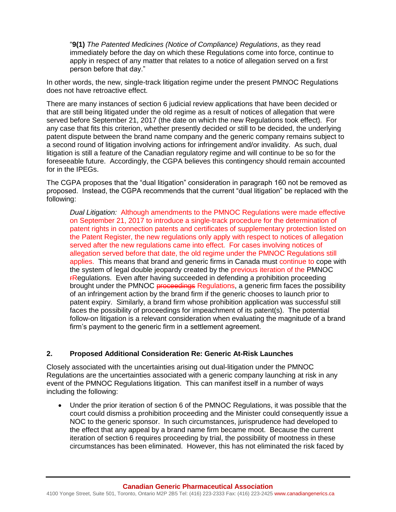"**9(1)** *The Patented Medicines (Notice of Compliance) Regulations*, as they read immediately before the day on which these Regulations come into force, continue to apply in respect of any matter that relates to a notice of allegation served on a first person before that day."

In other words, the new, single-track litigation regime under the present PMNOC Regulations does not have retroactive effect.

There are many instances of section 6 judicial review applications that have been decided or that are still being litigated under the old regime as a result of notices of allegation that were served before September 21, 2017 (the date on which the new Regulations took effect). For any case that fits this criterion, whether presently decided or still to be decided, the underlying patent dispute between the brand name company and the generic company remains subject to a second round of litigation involving actions for infringement and/or invalidity. As such, dual litigation is still a feature of the Canadian regulatory regime and will continue to be so for the foreseeable future. Accordingly, the CGPA believes this contingency should remain accounted for in the IPEGs.

The CGPA proposes that the "dual litigation" consideration in paragraph 160 not be removed as proposed. Instead, the CGPA recommends that the current "dual litigation" be replaced with the following:

*Dual Litigation:* Although amendments to the PMNOC Regulations were made effective on September 21, 2017 to introduce a single-track procedure for the determination of patent rights in connection patents and certificates of supplementary protection listed on the Patent Register, the new regulations only apply with respect to notices of allegation served after the new regulations came into effect. For cases involving notices of allegation served before that date, the old regime under the PMNOC Regulations still applies. This means that brand and generic firms in Canada must continue to cope with the system of legal double jeopardy created by the previous iteration of the PMNOC **FRegulations.** Even after having succeeded in defending a prohibition proceeding brought under the PMNOC proceedings Regulations, a generic firm faces the possibility of an infringement action by the brand firm if the generic chooses to launch prior to patent expiry. Similarly, a brand firm whose prohibition application was successful still faces the possibility of proceedings for impeachment of its patent(s). The potential follow-on litigation is a relevant consideration when evaluating the magnitude of a brand firm's payment to the generic firm in a settlement agreement.

## **2. Proposed Additional Consideration Re: Generic At-Risk Launches**

Closely associated with the uncertainties arising out dual-litigation under the PMNOC Regulations are the uncertainties associated with a generic company launching at risk in any event of the PMNOC Regulations litigation. This can manifest itself in a number of ways including the following:

• Under the prior iteration of section 6 of the PMNOC Regulations, it was possible that the court could dismiss a prohibition proceeding and the Minister could consequently issue a NOC to the generic sponsor. In such circumstances, jurisprudence had developed to the effect that any appeal by a brand name firm became moot. Because the current iteration of section 6 requires proceeding by trial, the possibility of mootness in these circumstances has been eliminated. However, this has not eliminated the risk faced by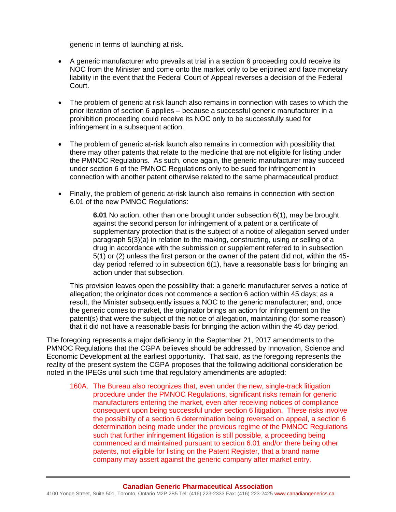generic in terms of launching at risk.

- A generic manufacturer who prevails at trial in a section 6 proceeding could receive its NOC from the Minister and come onto the market only to be enjoined and face monetary liability in the event that the Federal Court of Appeal reverses a decision of the Federal Court.
- The problem of generic at risk launch also remains in connection with cases to which the prior iteration of section 6 applies – because a successful generic manufacturer in a prohibition proceeding could receive its NOC only to be successfully sued for infringement in a subsequent action.
- The problem of generic at-risk launch also remains in connection with possibility that there may other patents that relate to the medicine that are not eligible for listing under the PMNOC Regulations. As such, once again, the generic manufacturer may succeed under section 6 of the PMNOC Regulations only to be sued for infringement in connection with another patent otherwise related to the same pharmaceutical product.
- Finally, the problem of generic at-risk launch also remains in connection with section 6.01 of the new PMNOC Regulations:

**6.01** No action, other than one brought under subsection 6(1), may be brought against the second person for infringement of a patent or a certificate of supplementary protection that is the subject of a notice of allegation served under paragraph 5(3)(a) in relation to the making, constructing, using or selling of a drug in accordance with the submission or supplement referred to in subsection 5(1) or (2) unless the first person or the owner of the patent did not, within the 45 day period referred to in subsection 6(1), have a reasonable basis for bringing an action under that subsection.

This provision leaves open the possibility that: a generic manufacturer serves a notice of allegation; the originator does not commence a section 6 action within 45 days; as a result, the Minister subsequently issues a NOC to the generic manufacturer; and, once the generic comes to market, the originator brings an action for infringement on the patent(s) that were the subject of the notice of allegation, maintaining (for some reason) that it did not have a reasonable basis for bringing the action within the 45 day period.

The foregoing represents a major deficiency in the September 21, 2017 amendments to the PMNOC Regulations that the CGPA believes should be addressed by Innovation, Science and Economic Development at the earliest opportunity. That said, as the foregoing represents the reality of the present system the CGPA proposes that the following additional consideration be noted in the IPEGs until such time that regulatory amendments are adopted:

160A. The Bureau also recognizes that, even under the new, single-track litigation procedure under the PMNOC Regulations, significant risks remain for generic manufacturers entering the market, even after receiving notices of compliance consequent upon being successful under section 6 litigation. These risks involve the possibility of a section 6 determination being reversed on appeal, a section 6 determination being made under the previous regime of the PMNOC Regulations such that further infringement litigation is still possible, a proceeding being commenced and maintained pursuant to section 6.01 and/or there being other patents, not eligible for listing on the Patent Register, that a brand name company may assert against the generic company after market entry.

4100 Yonge Street, Suite 501, Toronto, Ontario M2P 2B5 Tel: (416) 223-2333 Fax: (416) 223-2425 www.canadiangenerics.ca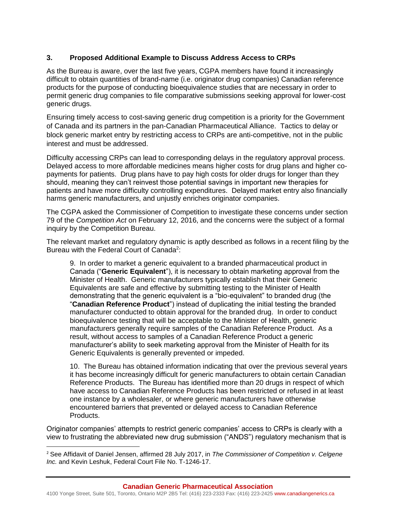# **3. Proposed Additional Example to Discuss Address Access to CRPs**

As the Bureau is aware, over the last five years, CGPA members have found it increasingly difficult to obtain quantities of brand-name (i.e. originator drug companies) Canadian reference products for the purpose of conducting bioequivalence studies that are necessary in order to permit generic drug companies to file comparative submissions seeking approval for lower-cost generic drugs.

Ensuring timely access to cost-saving generic drug competition is a priority for the Government of Canada and its partners in the pan-Canadian Pharmaceutical Alliance. Tactics to delay or block generic market entry by restricting access to CRPs are anti-competitive, not in the public interest and must be addressed.

Difficulty accessing CRPs can lead to corresponding delays in the regulatory approval process. Delayed access to more affordable medicines means higher costs for drug plans and higher copayments for patients. Drug plans have to pay high costs for older drugs for longer than they should, meaning they can't reinvest those potential savings in important new therapies for patients and have more difficulty controlling expenditures. Delayed market entry also financially harms generic manufacturers, and unjustly enriches originator companies.

The CGPA asked the Commissioner of Competition to investigate these concerns under section 79 of the *Competition Act* on February 12, 2016, and the concerns were the subject of a formal inquiry by the Competition Bureau.

The relevant market and regulatory dynamic is aptly described as follows in a recent filing by the Bureau with the Federal Court of Canada<sup>2</sup>:

9. In order to market a generic equivalent to a branded pharmaceutical product in Canada ("**Generic Equivalent**"), it is necessary to obtain marketing approval from the Minister of Health. Generic manufacturers typically establish that their Generic Equivalents are safe and effective by submitting testing to the Minister of Health demonstrating that the generic equivalent is a "bio-equivalent" to branded drug (the "**Canadian Reference Product**") instead of duplicating the initial testing the branded manufacturer conducted to obtain approval for the branded drug. In order to conduct bioequivalence testing that will be acceptable to the Minister of Health, generic manufacturers generally require samples of the Canadian Reference Product. As a result, without access to samples of a Canadian Reference Product a generic manufacturer's ability to seek marketing approval from the Minister of Health for its Generic Equivalents is generally prevented or impeded.

10. The Bureau has obtained information indicating that over the previous several years it has become increasingly difficult for generic manufacturers to obtain certain Canadian Reference Products. The Bureau has identified more than 20 drugs in respect of which have access to Canadian Reference Products has been restricted or refused in at least one instance by a wholesaler, or where generic manufacturers have otherwise encountered barriers that prevented or delayed access to Canadian Reference Products.

Originator companies' attempts to restrict generic companies' access to CRPs is clearly with a view to frustrating the abbreviated new drug submission ("ANDS") regulatory mechanism that is

l

<sup>2</sup> See Affidavit of Daniel Jensen, affirmed 28 July 2017, in *The Commissioner of Competition v. Celgene Inc.* and Kevin Leshuk, Federal Court File No. T-1246-17.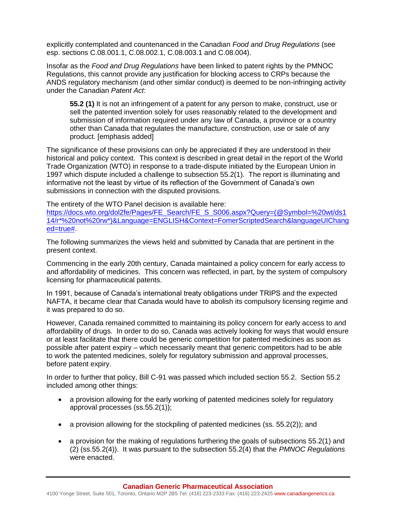explicitly contemplated and countenanced in the Canadian *Food and Drug Regulations* (see esp. sections C.08.001.1, C.08.002.1, C.08.003.1 and C.08.004).

Insofar as the *Food and Drug Regulations* have been linked to patent rights by the PMNOC Regulations, this cannot provide any justification for blocking access to CRPs because the ANDS regulatory mechanism (and other similar conduct) is deemed to be non-infringing activity under the Canadian *Patent Act*:

**55.2 (1)** It is not an infringement of a patent for any person to make, construct, use or sell the patented invention solely for uses reasonably related to the development and submission of information required under any law of Canada, a province or a country other than Canada that regulates the manufacture, construction, use or sale of any product. [emphasis added]

The significance of these provisions can only be appreciated if they are understood in their historical and policy context. This context is described in great detail in the report of the World Trade Organization (WTO) in response to a trade-dispute initiated by the European Union in 1997 which dispute included a challenge to subsection 55.2(1). The report is illuminating and informative not the least by virtue of its reflection of the Government of Canada's own submissions in connection with the disputed provisions.

The entirety of the WTO Panel decision is available here:

[https://docs.wto.org/dol2fe/Pages/FE\\_Search/FE\\_S\\_S006.aspx?Query=\(@Symbol=%20wt/ds1](https://docs.wto.org/dol2fe/Pages/FE_Search/FE_S_S006.aspx?Query=(@Symbol=%20wt/ds114/r*%20not%20rw*)&Language=ENGLISH&Context=FomerScriptedSearch&languageUIChanged=true) [14/r\\*%20not%20rw\\*\)&Language=ENGLISH&Context=FomerScriptedSearch&languageUIChang](https://docs.wto.org/dol2fe/Pages/FE_Search/FE_S_S006.aspx?Query=(@Symbol=%20wt/ds114/r*%20not%20rw*)&Language=ENGLISH&Context=FomerScriptedSearch&languageUIChanged=true) [ed=true#.](https://docs.wto.org/dol2fe/Pages/FE_Search/FE_S_S006.aspx?Query=(@Symbol=%20wt/ds114/r*%20not%20rw*)&Language=ENGLISH&Context=FomerScriptedSearch&languageUIChanged=true)

The following summarizes the views held and submitted by Canada that are pertinent in the present context.

Commencing in the early 20th century, Canada maintained a policy concern for early access to and affordability of medicines. This concern was reflected, in part, by the system of compulsory licensing for pharmaceutical patents.

In 1991, because of Canada's international treaty obligations under TRIPS and the expected NAFTA, it became clear that Canada would have to abolish its compulsory licensing regime and it was prepared to do so.

However, Canada remained committed to maintaining its policy concern for early access to and affordability of drugs. In order to do so, Canada was actively looking for ways that would ensure or at least facilitate that there could be generic competition for patented medicines as soon as possible after patent expiry – which necessarily meant that generic competitors had to be able to work the patented medicines, solely for regulatory submission and approval processes, before patent expiry.

In order to further that policy, Bill C-91 was passed which included section 55.2. Section 55.2 included among other things:

- a provision allowing for the early working of patented medicines solely for regulatory approval processes (ss.55.2(1));
- a provision allowing for the stockpiling of patented medicines (ss.  $55.2(2)$ ); and
- a provision for the making of regulations furthering the goals of subsections 55.2(1) and (2) (ss.55.2(4)). It was pursuant to the subsection 55.2(4) that the *PMNOC Regulations* were enacted.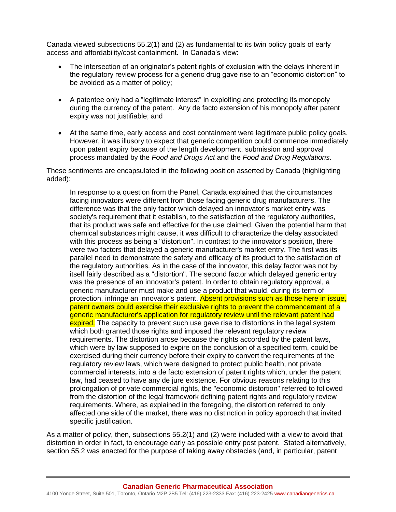Canada viewed subsections 55.2(1) and (2) as fundamental to its twin policy goals of early access and affordability/cost containment. In Canada's view:

- The intersection of an originator's patent rights of exclusion with the delays inherent in the regulatory review process for a generic drug gave rise to an "economic distortion" to be avoided as a matter of policy;
- A patentee only had a "legitimate interest" in exploiting and protecting its monopoly during the currency of the patent. Any de facto extension of his monopoly after patent expiry was not justifiable; and
- At the same time, early access and cost containment were legitimate public policy goals. However, it was illusory to expect that generic competition could commence immediately upon patent expiry because of the length development, submission and approval process mandated by the *Food and Drugs Act* and the *Food and Drug Regulations*.

These sentiments are encapsulated in the following position asserted by Canada (highlighting added):

In response to a question from the Panel, Canada explained that the circumstances facing innovators were different from those facing generic drug manufacturers. The difference was that the only factor which delayed an innovator's market entry was society's requirement that it establish, to the satisfaction of the regulatory authorities, that its product was safe and effective for the use claimed. Given the potential harm that chemical substances might cause, it was difficult to characterize the delay associated with this process as being a "distortion". In contrast to the innovator's position, there were two factors that delayed a generic manufacturer's market entry. The first was its parallel need to demonstrate the safety and efficacy of its product to the satisfaction of the regulatory authorities. As in the case of the innovator, this delay factor was not by itself fairly described as a "distortion". The second factor which delayed generic entry was the presence of an innovator's patent. In order to obtain regulatory approval, a generic manufacturer must make and use a product that would, during its term of protection, infringe an innovator's patent. Absent provisions such as those here in issue, patent owners could exercise their exclusive rights to prevent the commencement of a generic manufacturer's application for regulatory review until the relevant patent had expired. The capacity to prevent such use gave rise to distortions in the legal system which both granted those rights and imposed the relevant regulatory review requirements. The distortion arose because the rights accorded by the patent laws, which were by law supposed to expire on the conclusion of a specified term, could be exercised during their currency before their expiry to convert the requirements of the regulatory review laws, which were designed to protect public health, not private commercial interests, into a de facto extension of patent rights which, under the patent law, had ceased to have any de jure existence. For obvious reasons relating to this prolongation of private commercial rights, the "economic distortion" referred to followed from the distortion of the legal framework defining patent rights and regulatory review requirements. Where, as explained in the foregoing, the distortion referred to only affected one side of the market, there was no distinction in policy approach that invited specific justification.

As a matter of policy, then, subsections 55.2(1) and (2) were included with a view to avoid that distortion in order in fact, to encourage early as possible entry post patent. Stated alternatively, section 55.2 was enacted for the purpose of taking away obstacles (and, in particular, patent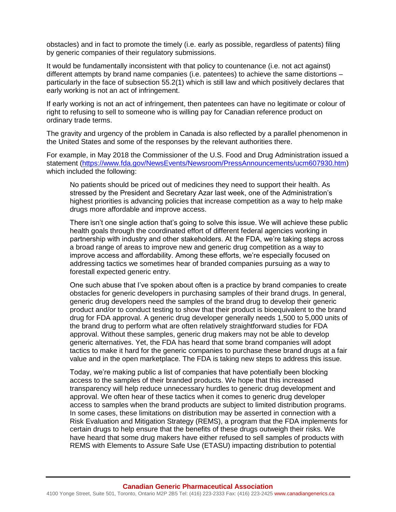obstacles) and in fact to promote the timely (i.e. early as possible, regardless of patents) filing by generic companies of their regulatory submissions.

It would be fundamentally inconsistent with that policy to countenance (i.e. not act against) different attempts by brand name companies (i.e. patentees) to achieve the same distortions – particularly in the face of subsection 55.2(1) which is still law and which positively declares that early working is not an act of infringement.

If early working is not an act of infringement, then patentees can have no legitimate or colour of right to refusing to sell to someone who is willing pay for Canadian reference product on ordinary trade terms.

The gravity and urgency of the problem in Canada is also reflected by a parallel phenomenon in the United States and some of the responses by the relevant authorities there.

For example, in May 2018 the Commissioner of the U.S. Food and Drug Administration issued a statement [\(https://www.fda.gov/NewsEvents/Newsroom/PressAnnouncements/ucm607930.htm\)](https://www.fda.gov/NewsEvents/Newsroom/PressAnnouncements/ucm607930.htm) which included the following:

No patients should be priced out of medicines they need to support their health. As stressed by the President and Secretary Azar last week, one of the Administration's highest priorities is advancing policies that increase competition as a way to help make drugs more affordable and improve access.

There isn't one single action that's going to solve this issue. We will achieve these public health goals through the coordinated effort of different federal agencies working in partnership with industry and other stakeholders. At the FDA, we're taking steps across a broad range of areas to improve new and generic drug competition as a way to improve access and affordability. Among these efforts, we're especially focused on addressing tactics we sometimes hear of branded companies pursuing as a way to forestall expected generic entry.

One such abuse that I've spoken about often is a practice by brand companies to create obstacles for generic developers in purchasing samples of their brand drugs. In general, generic drug developers need the samples of the brand drug to develop their generic product and/or to conduct testing to show that their product is bioequivalent to the brand drug for FDA approval. A generic drug developer generally needs 1,500 to 5,000 units of the brand drug to perform what are often relatively straightforward studies for FDA approval. Without these samples, generic drug makers may not be able to develop generic alternatives. Yet, the FDA has heard that some brand companies will adopt tactics to make it hard for the generic companies to purchase these brand drugs at a fair value and in the open marketplace. The FDA is taking new steps to address this issue.

Today, we're making public a list of companies that have potentially been blocking access to the samples of their branded products. We hope that this increased transparency will help reduce unnecessary hurdles to generic drug development and approval. We often hear of these tactics when it comes to generic drug developer access to samples when the brand products are subject to limited distribution programs. In some cases, these limitations on distribution may be asserted in connection with a Risk Evaluation and Mitigation Strategy (REMS), a program that the FDA implements for certain drugs to help ensure that the benefits of these drugs outweigh their risks. We have heard that some drug makers have either refused to sell samples of products with REMS with Elements to Assure Safe Use (ETASU) impacting distribution to potential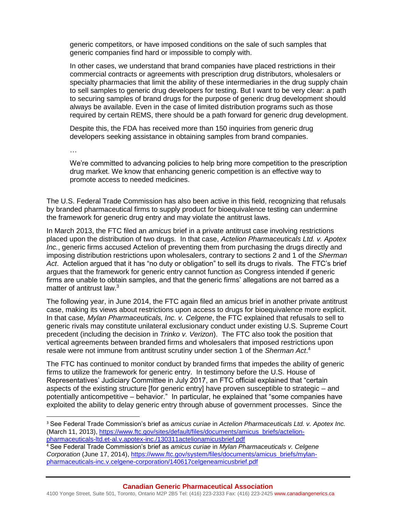generic competitors, or have imposed conditions on the sale of such samples that generic companies find hard or impossible to comply with.

In other cases, we understand that brand companies have placed restrictions in their commercial contracts or agreements with prescription drug distributors, wholesalers or specialty pharmacies that limit the ability of these intermediaries in the drug supply chain to sell samples to generic drug developers for testing. But I want to be very clear: a path to securing samples of brand drugs for the purpose of generic drug development should always be available. Even in the case of limited distribution programs such as those required by certain REMS, there should be a path forward for generic drug development.

Despite this, the FDA has received more than 150 inquiries from generic drug developers seeking assistance in obtaining samples from brand companies.

…

 $\overline{\phantom{a}}$ 

We're committed to advancing policies to help bring more competition to the prescription drug market. We know that enhancing generic competition is an effective way to promote access to needed medicines.

The U.S. Federal Trade Commission has also been active in this field, recognizing that refusals by branded pharmaceutical firms to supply product for bioequivalence testing can undermine the framework for generic drug entry and may violate the antitrust laws.

In March 2013, the FTC filed an *amicus* brief in a private antitrust case involving restrictions placed upon the distribution of two drugs. In that case, *Actelion Pharmaceuticals Ltd. v. Apotex Inc.*, generic firms accused Actelion of preventing them from purchasing the drugs directly and imposing distribution restrictions upon wholesalers, contrary to sections 2 and 1 of the *Sherman Act*. Actelion argued that it has "no duty or obligation" to sell its drugs to rivals. The FTC's brief argues that the framework for generic entry cannot function as Congress intended if generic firms are unable to obtain samples, and that the generic firms' allegations are not barred as a matter of antitrust law.<sup>3</sup>

The following year, in June 2014, the FTC again filed an amicus brief in another private antitrust case, making its views about restrictions upon access to drugs for bioequivalence more explicit. In that case, *Mylan Pharmaceuticals, Inc. v. Celgene*, the FTC explained that refusals to sell to generic rivals may constitute unilateral exclusionary conduct under existing U.S. Supreme Court precedent (including the decision in *Trinko v. Verizon*). The FTC also took the position that vertical agreements between branded firms and wholesalers that imposed restrictions upon resale were not immune from antitrust scrutiny under section 1 of the *Sherman Act*. 4

The FTC has continued to monitor conduct by branded firms that impedes the ability of generic firms to utilize the framework for generic entry. In testimony before the U.S. House of Representatives' Judiciary Committee in July 2017, an FTC official explained that "certain aspects of the existing structure [for generic entry] have proven susceptible to strategic – and potentially anticompetitive – behavior." In particular, he explained that "some companies have exploited the ability to delay generic entry through abuse of government processes. Since the

<sup>3</sup> See Federal Trade Commission's brief as *amicus curiae* in *Actelion Pharmaceuticals Ltd. v. Apotex Inc.* (March 11, 2013), [https://www.ftc.gov/sites/default/files/documents/amicus\\_briefs/actelion](https://www.ftc.gov/sites/default/files/documents/amicus_briefs/actelion-pharmaceuticals-ltd.et-al.v.apotex-inc./130311actelionamicusbrief.pdf)[pharmaceuticals-ltd.et-al.v.apotex-inc./130311actelionamicusbrief.pdf](https://www.ftc.gov/sites/default/files/documents/amicus_briefs/actelion-pharmaceuticals-ltd.et-al.v.apotex-inc./130311actelionamicusbrief.pdf)

<sup>4</sup> See Federal Trade Commission's brief as *amicus curiae* in *Mylan Pharmaceuticals v. Celgene Corporation* (June 17, 2014), [https://www.ftc.gov/system/files/documents/amicus\\_briefs/mylan](https://www.ftc.gov/system/files/documents/amicus_briefs/mylan-pharmaceuticals-inc.v.celgene-corporation/140617celgeneamicusbrief.pdf)[pharmaceuticals-inc.v.celgene-corporation/140617celgeneamicusbrief.pdf](https://www.ftc.gov/system/files/documents/amicus_briefs/mylan-pharmaceuticals-inc.v.celgene-corporation/140617celgeneamicusbrief.pdf)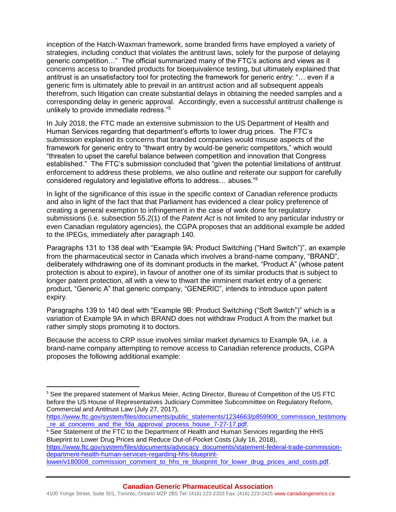inception of the Hatch-Waxman framework, some branded firms have employed a variety of strategies, including conduct that violates the antitrust laws, solely for the purpose of delaying generic competition…" The official summarized many of the FTC's actions and views as it concerns access to branded products for bioequivalence testing, but ultimately explained that antitrust is an unsatisfactory tool for protecting the framework for generic entry: "… even if a generic firm is ultimately able to prevail in an antitrust action and all subsequent appeals therefrom, such litigation can create substantial delays in obtaining the needed samples and a corresponding delay in generic approval. Accordingly, even a successful antitrust challenge is unlikely to provide immediate redress."<sup>5</sup>

In July 2018, the FTC made an extensive submission to the US Department of Health and Human Services regarding that department's efforts to lower drug prices. The FTC's submission explained its concerns that branded companies would misuse aspects of the framework for generic entry to "thwart entry by would-be generic competitors," which would "threaten to upset the careful balance between competition and innovation that Congress established." The FTC's submission concluded that "given the potential limitations of antitrust enforcement to address these problems, we also outline and reiterate our support for carefully considered regulatory and legislative efforts to address… abuses."<sup>6</sup>

In light of the significance of this issue in the specific context of Canadian reference products and also in light of the fact that that Parliament has evidenced a clear policy preference of creating a general exemption to infringement in the case of work done for regulatory submissions (i.e. subsection 55.2(1) of the *Patent Act* is not limited to any particular industry or even Canadian regulatory agencies), the CGPA proposes that an additional example be added to the IPEGs, immediately after paragraph 140.

Paragraphs 131 to 138 deal with "Example 9A: Product Switching ("Hard Switch")", an example from the pharmaceutical sector in Canada which involves a brand-name company, "BRAND", deliberately withdrawing one of its dominant products in the market, "Product A" (whose patent protection is about to expire), in favour of another one of its similar products that is subject to longer patent protection, all with a view to thwart the imminent market entry of a generic product, "Generic A" that generic company, "GENERIC", intends to introduce upon patent expiry.

Paragraphs 139 to 140 deal with "Example 9B: Product Switching ("Soft Switch")" which is a variation of Example 9A in which BRAND does not withdraw Product A from the market but rather simply stops promoting it to doctors.

Because the access to CRP issue involves similar market dynamics to Example 9A, i.e. a brand-name company attempting to remove access to Canadian reference products, CGPA proposes the following additional example:

 $\overline{a}$ 

<sup>&</sup>lt;sup>5</sup> See the prepared statement of Markus Meier, Acting Director, Bureau of Competition of the US FTC before the US House of Representatives Judiciary Committee Subcommittee on Regulatory Reform, Commercial and Antitrust Law (July 27, 2017),

[https://www.ftc.gov/system/files/documents/public\\_statements/1234663/p859900\\_commission\\_testimony](https://www.ftc.gov/system/files/documents/public_statements/1234663/p859900_commission_testimony_re_at_concerns_and_the_fda_approval_process_house_7-27-17.pdf) [\\_re\\_at\\_concerns\\_and\\_the\\_fda\\_approval\\_process\\_house\\_7-27-17.pdf.](https://www.ftc.gov/system/files/documents/public_statements/1234663/p859900_commission_testimony_re_at_concerns_and_the_fda_approval_process_house_7-27-17.pdf)

<sup>&</sup>lt;sup>6</sup> See Statement of the FTC to the Department of Health and Human Services regarding the HHS Blueprint to Lower Drug Prices and Reduce Out-of-Pocket Costs (July 16, 2018),

[https://www.ftc.gov/system/files/documents/advocacy\\_documents/statement-federal-trade-commission](https://www.ftc.gov/system/files/documents/advocacy_documents/statement-federal-trade-commission-department-health-human-services-regarding-hhs-blueprint-lower/v180008_commission_comment_to_hhs_re_blueprint_for_lower_drug_prices_and_costs.pdf)[department-health-human-services-regarding-hhs-blueprint-](https://www.ftc.gov/system/files/documents/advocacy_documents/statement-federal-trade-commission-department-health-human-services-regarding-hhs-blueprint-lower/v180008_commission_comment_to_hhs_re_blueprint_for_lower_drug_prices_and_costs.pdf)

[lower/v180008\\_commission\\_comment\\_to\\_hhs\\_re\\_blueprint\\_for\\_lower\\_drug\\_prices\\_and\\_costs.pdf.](https://www.ftc.gov/system/files/documents/advocacy_documents/statement-federal-trade-commission-department-health-human-services-regarding-hhs-blueprint-lower/v180008_commission_comment_to_hhs_re_blueprint_for_lower_drug_prices_and_costs.pdf)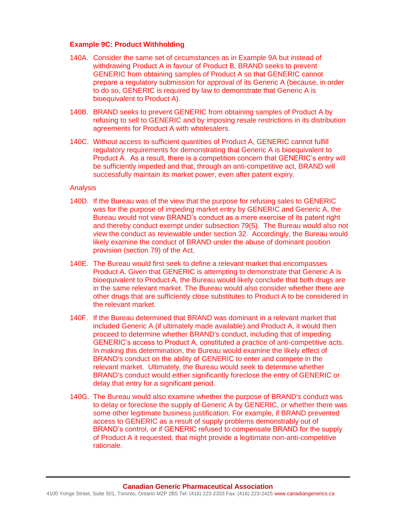### **Example 9C: Product Withholding**

- 140A. Consider the same set of circumstances as in Example 9A but instead of withdrawing Product A in favour of Product B, BRAND seeks to prevent GENERIC from obtaining samples of Product A so that GENERIC cannot prepare a regulatory submission for approval of its Generic A (because, in order to do so, GENERIC is required by law to demonstrate that Generic A is bioequivalent to Product A).
- 140B. BRAND seeks to prevent GENERIC from obtaining samples of Product A by refusing to sell to GENERIC and by imposing resale restrictions in its distribution agreements for Product A with wholesalers.
- 140C. Without access to sufficient quantities of Product A, GENERIC cannot fulfill regulatory requirements for demonstrating that Generic A is bioequivalent to Product A. As a result, there is a competition concern that GENERIC's entry will be sufficiently impeded and that, through an anti-competitive act, BRAND will successfully maintain its market power, even after patent expiry.

#### Analysis

- 140D. If the Bureau was of the view that the purpose for refusing sales to GENERIC was for the purpose of impeding market entry by GENERIC and Generic A, the Bureau would not view BRAND's conduct as a mere exercise of its patent right and thereby conduct exempt under subsection 79(5). The Bureau would also not view the conduct as reviewable under section 32. Accordingly, the Bureau would likely examine the conduct of BRAND under the abuse of dominant position provision (section 79) of the Act.
- 140E. The Bureau would first seek to define a relevant market that encompasses Product A. Given that GENERIC is attempting to demonstrate that Generic A is bioequivalent to Product A, the Bureau would likely conclude that both drugs are in the same relevant market. The Bureau would also consider whether there are other drugs that are sufficiently close substitutes to Product A to be considered in the relevant market.
- 140F. If the Bureau determined that BRAND was dominant in a relevant market that included Generic A (if ultimately made available) and Product A, it would then proceed to determine whether BRAND's conduct, including that of impeding GENERIC's access to Product A, constituted a practice of anti-competitive acts. In making this determination, the Bureau would examine the likely effect of BRAND's conduct on the ability of GENERIC to enter and compete in the relevant market. Ultimately, the Bureau would seek to determine whether BRAND's conduct would either significantly foreclose the entry of GENERIC or delay that entry for a significant period.
- 140G. The Bureau would also examine whether the purpose of BRAND's conduct was to delay or foreclose the supply of Generic A by GENERIC, or whether there was some other legitimate business justification. For example, if BRAND prevented access to GENERIC as a result of supply problems demonstrably out of BRAND's control, or if GENERIC refused to compensate BRAND for the supply of Product A it requested, that might provide a legitimate non-anti-competitive rationale.